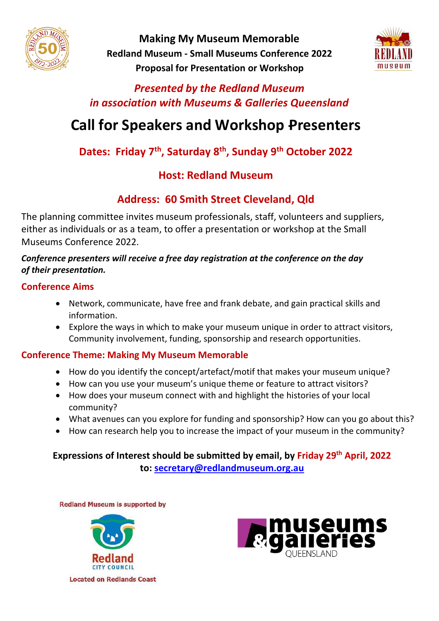

**Making My Museum Memorable Redland Museum - Small Museums Conference 2022 Proposal for Presentation or Workshop** 



### *Presented by the Redland Museum in association with Museums & Galleries Queensland*

# **Call for Speakers and Workshop Presenters**

## **Dates: Friday 7th, Saturday 8th, Sunday 9th October 2022**

### **Host: Redland Museum**

# **Address: 60 Smith Street Cleveland, Qld**

The planning committee invites museum professionals, staff, volunteers and suppliers, either as individuals or as a team, to offer a presentation or workshop at the Small Museums Conference 2022.

#### *Conference presenters will receive a free day registration at the conference on the day of their presentation.*

### **Conference Aims**

- Network, communicate, have free and frank debate, and gain practical skills and information.
- Explore the ways in which to make your museum unique in order to attract visitors, Community involvement, funding, sponsorship and research opportunities.

#### **Conference Theme: Making My Museum Memorable**

- How do you identify the concept/artefact/motif that makes your museum unique?
- How can you use your museum's unique theme or feature to attract visitors?
- How does your museum connect with and highlight the histories of your local community?
- What avenues can you explore for funding and sponsorship? How can you go about this?
- How can research help you to increase the impact of your museum in the community?

### **Expressions of Interest should be submitted by email, by Friday 29th April, 2022 to: [secretary@redlandmuseum.org.au](file:///C:/Users/Liz%20Blumson/AppData/Local/Microsoft/Windows/INetCache/Content.Outlook/RVZM5JN4/secretary@redlandmuseum.org.au)**

**Redland Museum is supported by**